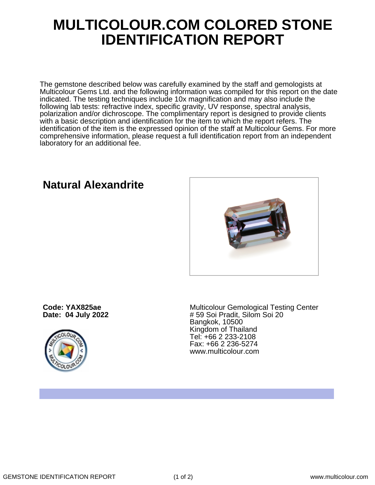## **MULTICOLOUR.COM COLORED STONE IDENTIFICATION REPORT**

The gemstone described below was carefully examined by the staff and gemologists at Multicolour Gems Ltd. and the following information was compiled for this report on the date indicated. The testing techniques include 10x magnification and may also include the following lab tests: refractive index, specific gravity, UV response, spectral analysis, polarization and/or dichroscope. The complimentary report is designed to provide clients with a basic description and identification for the item to which the report refers. The identification of the item is the expressed opinion of the staff at Multicolour Gems. For more comprehensive information, please request a full identification report from an independent laboratory for an additional fee.

**Natural Alexandrite**

**Code: YAX825ae Date: 04 July 2022**



Multicolour Gemological Testing Center # 59 Soi Pradit, Silom Soi 20 Bangkok, 10500 Kingdom of Thailand Tel: +66 2 233-2108 Fax: +66 2 236-5274 www.multicolour.com